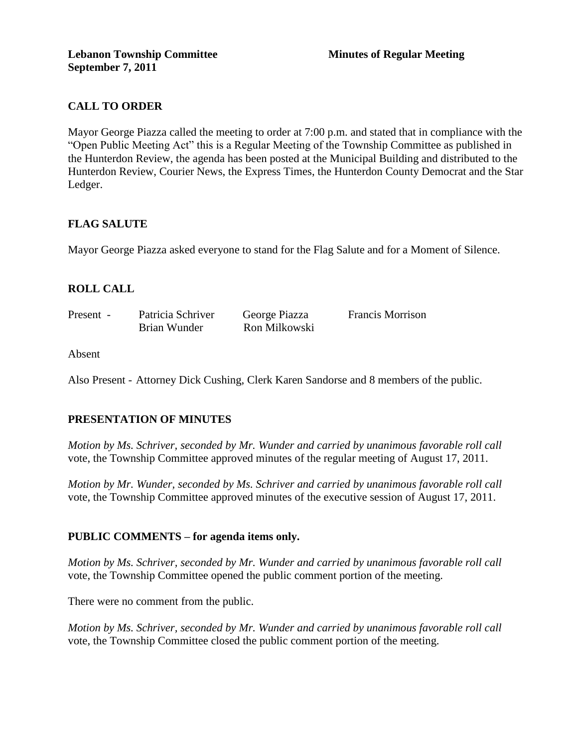# **CALL TO ORDER**

Mayor George Piazza called the meeting to order at 7:00 p.m. and stated that in compliance with the "Open Public Meeting Act" this is a Regular Meeting of the Township Committee as published in the Hunterdon Review, the agenda has been posted at the Municipal Building and distributed to the Hunterdon Review, Courier News, the Express Times, the Hunterdon County Democrat and the Star Ledger.

### **FLAG SALUTE**

Mayor George Piazza asked everyone to stand for the Flag Salute and for a Moment of Silence.

# **ROLL CALL**

| Present - | Patricia Schriver | George Piazza | <b>Francis Morrison</b> |
|-----------|-------------------|---------------|-------------------------|
|           | Brian Wunder      | Ron Milkowski |                         |

Absent

Also Present - Attorney Dick Cushing, Clerk Karen Sandorse and 8 members of the public.

### **PRESENTATION OF MINUTES**

*Motion by Ms. Schriver, seconded by Mr. Wunder and carried by unanimous favorable roll call*  vote, the Township Committee approved minutes of the regular meeting of August 17, 2011.

*Motion by Mr. Wunder, seconded by Ms. Schriver and carried by unanimous favorable roll call*  vote, the Township Committee approved minutes of the executive session of August 17, 2011.

### **PUBLIC COMMENTS – for agenda items only.**

*Motion by Ms. Schriver, seconded by Mr. Wunder and carried by unanimous favorable roll call*  vote, the Township Committee opened the public comment portion of the meeting.

There were no comment from the public.

*Motion by Ms. Schriver, seconded by Mr. Wunder and carried by unanimous favorable roll call*  vote, the Township Committee closed the public comment portion of the meeting.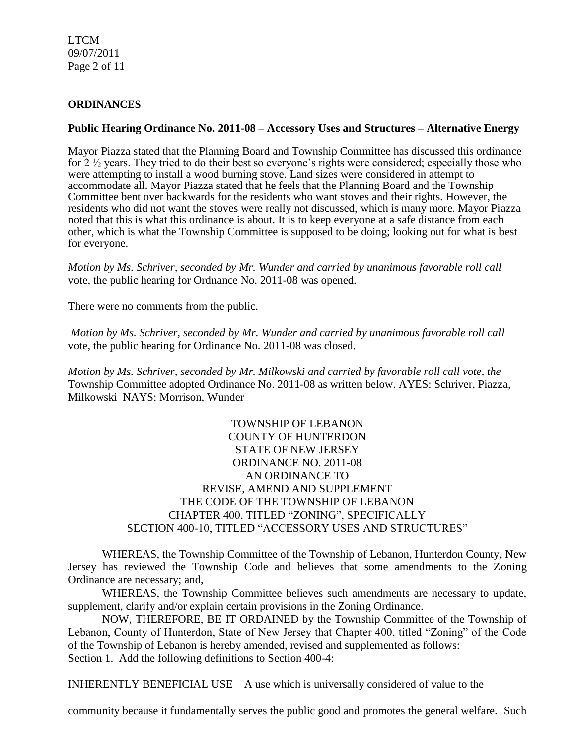LTCM 09/07/2011 Page 2 of 11

### **ORDINANCES**

### **Public Hearing Ordinance No. 2011-08 – Accessory Uses and Structures – Alternative Energy**

Mayor Piazza stated that the Planning Board and Township Committee has discussed this ordinance for 2 ½ years. They tried to do their best so everyone's rights were considered; especially those who were attempting to install a wood burning stove. Land sizes were considered in attempt to accommodate all. Mayor Piazza stated that he feels that the Planning Board and the Township Committee bent over backwards for the residents who want stoves and their rights. However, the residents who did not want the stoves were really not discussed, which is many more. Mayor Piazza noted that this is what this ordinance is about. It is to keep everyone at a safe distance from each other, which is what the Township Committee is supposed to be doing; looking out for what is best for everyone.

*Motion by Ms. Schriver, seconded by Mr. Wunder and carried by unanimous favorable roll call*  vote*,* the public hearing for Ordnance No. 2011-08 was opened.

There were no comments from the public.

*Motion by Ms. Schriver, seconded by Mr. Wunder and carried by unanimous favorable roll call*  vote, the public hearing for Ordinance No. 2011-08 was closed.

*Motion by Ms. Schriver, seconded by Mr. Milkowski and carried by favorable roll call vote, the* Township Committee adopted Ordinance No. 2011-08 as written below. AYES: Schriver, Piazza, Milkowski NAYS: Morrison, Wunder

> TOWNSHIP OF LEBANON COUNTY OF HUNTERDON STATE OF NEW JERSEY ORDINANCE NO. 2011-08 AN ORDINANCE TO REVISE, AMEND AND SUPPLEMENT THE CODE OF THE TOWNSHIP OF LEBANON CHAPTER 400, TITLED "ZONING", SPECIFICALLY SECTION 400-10, TITLED "ACCESSORY USES AND STRUCTURES"

WHEREAS, the Township Committee of the Township of Lebanon, Hunterdon County, New Jersey has reviewed the Township Code and believes that some amendments to the Zoning Ordinance are necessary; and,

WHEREAS, the Township Committee believes such amendments are necessary to update, supplement, clarify and/or explain certain provisions in the Zoning Ordinance.

NOW, THEREFORE, BE IT ORDAINED by the Township Committee of the Township of Lebanon, County of Hunterdon, State of New Jersey that Chapter 400, titled "Zoning" of the Code of the Township of Lebanon is hereby amended, revised and supplemented as follows: Section 1. Add the following definitions to Section 400-4:

INHERENTLY BENEFICIAL USE – A use which is universally considered of value to the

community because it fundamentally serves the public good and promotes the general welfare. Such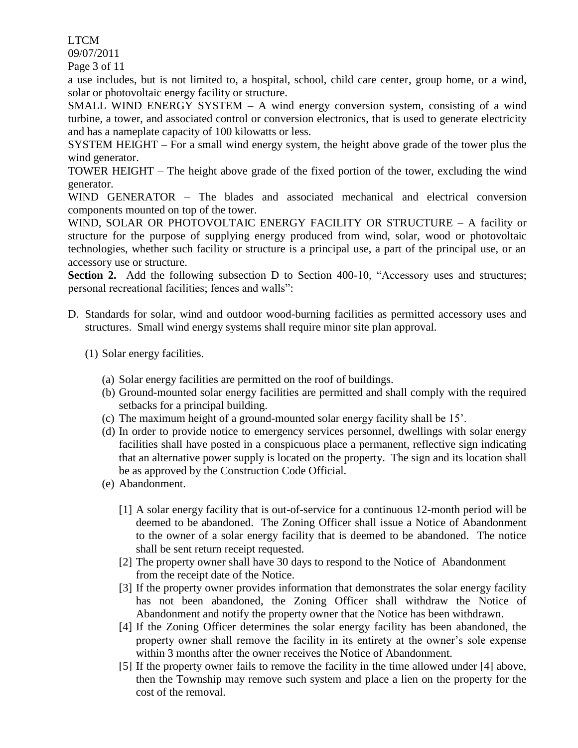LTCM

09/07/2011

Page 3 of 11

a use includes, but is not limited to, a hospital, school, child care center, group home, or a wind, solar or photovoltaic energy facility or structure.

SMALL WIND ENERGY SYSTEM – A wind energy conversion system, consisting of a wind turbine, a tower, and associated control or conversion electronics, that is used to generate electricity and has a nameplate capacity of 100 kilowatts or less.

SYSTEM HEIGHT – For a small wind energy system, the height above grade of the tower plus the wind generator.

TOWER HEIGHT – The height above grade of the fixed portion of the tower, excluding the wind generator.

WIND GENERATOR – The blades and associated mechanical and electrical conversion components mounted on top of the tower.

WIND, SOLAR OR PHOTOVOLTAIC ENERGY FACILITY OR STRUCTURE – A facility or structure for the purpose of supplying energy produced from wind, solar, wood or photovoltaic technologies, whether such facility or structure is a principal use, a part of the principal use, or an accessory use or structure.

**Section 2.** Add the following subsection D to Section 400-10, "Accessory uses and structures; personal recreational facilities; fences and walls":

- D. Standards for solar, wind and outdoor wood-burning facilities as permitted accessory uses and structures. Small wind energy systems shall require minor site plan approval.
	- (1) Solar energy facilities.
		- (a) Solar energy facilities are permitted on the roof of buildings.
		- (b) Ground-mounted solar energy facilities are permitted and shall comply with the required setbacks for a principal building.
		- (c) The maximum height of a ground-mounted solar energy facility shall be 15'.
		- (d) In order to provide notice to emergency services personnel, dwellings with solar energy facilities shall have posted in a conspicuous place a permanent, reflective sign indicating that an alternative power supply is located on the property. The sign and its location shall be as approved by the Construction Code Official.
		- (e) Abandonment.
			- [1] A solar energy facility that is out-of-service for a continuous 12-month period will be deemed to be abandoned. The Zoning Officer shall issue a Notice of Abandonment to the owner of a solar energy facility that is deemed to be abandoned. The notice shall be sent return receipt requested.
			- [2] The property owner shall have 30 days to respond to the Notice of Abandonment from the receipt date of the Notice.
			- [3] If the property owner provides information that demonstrates the solar energy facility has not been abandoned, the Zoning Officer shall withdraw the Notice of Abandonment and notify the property owner that the Notice has been withdrawn.
			- [4] If the Zoning Officer determines the solar energy facility has been abandoned, the property owner shall remove the facility in its entirety at the owner's sole expense within 3 months after the owner receives the Notice of Abandonment.
			- [5] If the property owner fails to remove the facility in the time allowed under [4] above, then the Township may remove such system and place a lien on the property for the cost of the removal.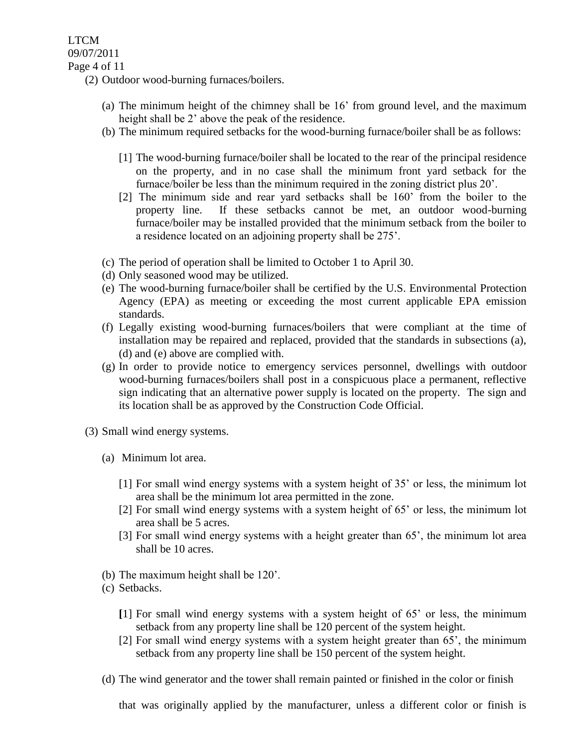(2) Outdoor wood-burning furnaces/boilers.

- (a) The minimum height of the chimney shall be 16' from ground level, and the maximum height shall be 2' above the peak of the residence.
- (b) The minimum required setbacks for the wood-burning furnace/boiler shall be as follows:
	- [1] The wood-burning furnace/boiler shall be located to the rear of the principal residence on the property, and in no case shall the minimum front yard setback for the furnace/boiler be less than the minimum required in the zoning district plus 20'.
	- [2] The minimum side and rear yard setbacks shall be 160' from the boiler to the property line. If these setbacks cannot be met, an outdoor wood-burning furnace/boiler may be installed provided that the minimum setback from the boiler to a residence located on an adjoining property shall be 275'.
- (c) The period of operation shall be limited to October 1 to April 30.
- (d) Only seasoned wood may be utilized.
- (e) The wood-burning furnace/boiler shall be certified by the U.S. Environmental Protection Agency (EPA) as meeting or exceeding the most current applicable EPA emission standards.
- (f) Legally existing wood-burning furnaces/boilers that were compliant at the time of installation may be repaired and replaced, provided that the standards in subsections (a), (d) and (e) above are complied with.
- (g) In order to provide notice to emergency services personnel, dwellings with outdoor wood-burning furnaces/boilers shall post in a conspicuous place a permanent, reflective sign indicating that an alternative power supply is located on the property. The sign and its location shall be as approved by the Construction Code Official.
- (3) Small wind energy systems.
	- (a) Minimum lot area.
		- [1] For small wind energy systems with a system height of 35' or less, the minimum lot area shall be the minimum lot area permitted in the zone.
		- [2] For small wind energy systems with a system height of 65' or less, the minimum lot area shall be 5 acres.
		- [3] For small wind energy systems with a height greater than 65', the minimum lot area shall be 10 acres.
	- (b) The maximum height shall be 120'.
	- (c) Setbacks.
		- **[**1] For small wind energy systems with a system height of 65' or less, the minimum setback from any property line shall be 120 percent of the system height.
		- [2] For small wind energy systems with a system height greater than 65', the minimum setback from any property line shall be 150 percent of the system height.
	- (d) The wind generator and the tower shall remain painted or finished in the color or finish

that was originally applied by the manufacturer, unless a different color or finish is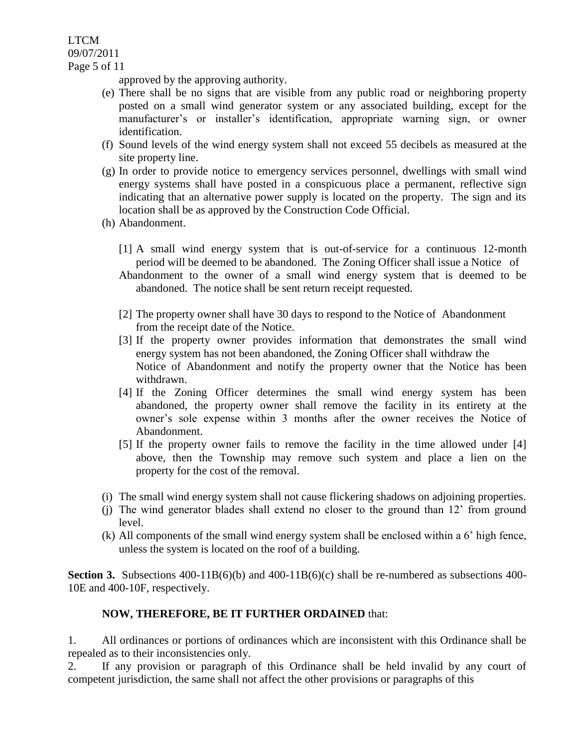LTCM 09/07/2011 Page 5 of 11

approved by the approving authority.

- (e) There shall be no signs that are visible from any public road or neighboring property posted on a small wind generator system or any associated building, except for the manufacturer's or installer's identification, appropriate warning sign, or owner identification.
- (f) Sound levels of the wind energy system shall not exceed 55 decibels as measured at the site property line.
- (g) In order to provide notice to emergency services personnel, dwellings with small wind energy systems shall have posted in a conspicuous place a permanent, reflective sign indicating that an alternative power supply is located on the property. The sign and its location shall be as approved by the Construction Code Official.
- (h) Abandonment.
	- [1] A small wind energy system that is out-of-service for a continuous 12-month period will be deemed to be abandoned. The Zoning Officer shall issue a Notice of
	- Abandonment to the owner of a small wind energy system that is deemed to be abandoned. The notice shall be sent return receipt requested.
	- [2] The property owner shall have 30 days to respond to the Notice of Abandonment from the receipt date of the Notice.
	- [3] If the property owner provides information that demonstrates the small wind energy system has not been abandoned, the Zoning Officer shall withdraw the Notice of Abandonment and notify the property owner that the Notice has been withdrawn.
	- [4] If the Zoning Officer determines the small wind energy system has been abandoned, the property owner shall remove the facility in its entirety at the owner's sole expense within 3 months after the owner receives the Notice of Abandonment.
	- [5] If the property owner fails to remove the facility in the time allowed under [4] above, then the Township may remove such system and place a lien on the property for the cost of the removal.
- (i) The small wind energy system shall not cause flickering shadows on adjoining properties.
- (j) The wind generator blades shall extend no closer to the ground than 12' from ground level.
- (k) All components of the small wind energy system shall be enclosed within a 6' high fence, unless the system is located on the roof of a building.

**Section 3.** Subsections 400-11B(6)(b) and 400-11B(6)(c) shall be re-numbered as subsections 400-10E and 400-10F, respectively.

# **NOW, THEREFORE, BE IT FURTHER ORDAINED** that:

1. All ordinances or portions of ordinances which are inconsistent with this Ordinance shall be repealed as to their inconsistencies only.

2. If any provision or paragraph of this Ordinance shall be held invalid by any court of competent jurisdiction, the same shall not affect the other provisions or paragraphs of this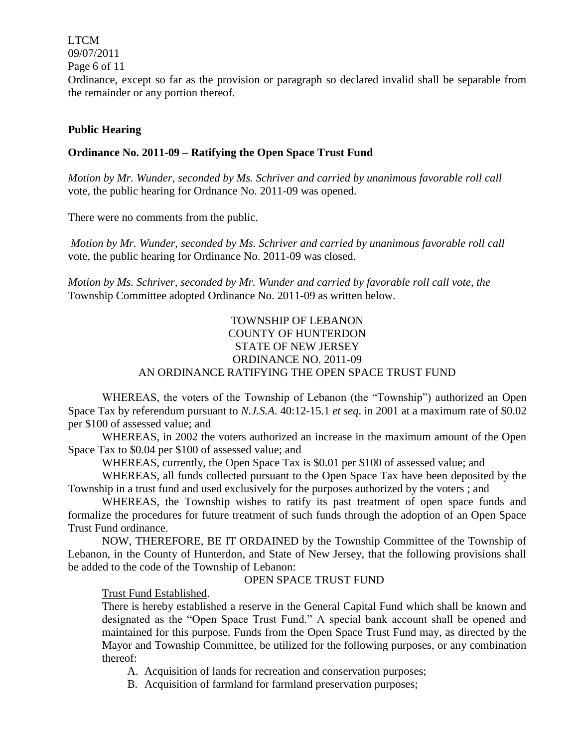LTCM 09/07/2011

Page 6 of 11

Ordinance, except so far as the provision or paragraph so declared invalid shall be separable from the remainder or any portion thereof.

### **Public Hearing**

### **Ordinance No. 2011-09 – Ratifying the Open Space Trust Fund**

*Motion by Mr. Wunder, seconded by Ms. Schriver and carried by unanimous favorable roll call*  vote*,* the public hearing for Ordnance No. 2011-09 was opened.

There were no comments from the public.

*Motion by Mr. Wunder, seconded by Ms. Schriver and carried by unanimous favorable roll call*  vote, the public hearing for Ordinance No. 2011-09 was closed.

*Motion by Ms. Schriver, seconded by Mr. Wunder and carried by favorable roll call vote, the* Township Committee adopted Ordinance No. 2011-09 as written below.

# TOWNSHIP OF LEBANON COUNTY OF HUNTERDON STATE OF NEW JERSEY ORDINANCE NO. 2011-09 AN ORDINANCE RATIFYING THE OPEN SPACE TRUST FUND

WHEREAS, the voters of the Township of Lebanon (the "Township") authorized an Open Space Tax by referendum pursuant to *N.J.S.A*. 40:12-15.1 *et seq*. in 2001 at a maximum rate of \$0.02 per \$100 of assessed value; and

WHEREAS, in 2002 the voters authorized an increase in the maximum amount of the Open Space Tax to \$0.04 per \$100 of assessed value; and

WHEREAS, currently, the Open Space Tax is \$0.01 per \$100 of assessed value; and

WHEREAS, all funds collected pursuant to the Open Space Tax have been deposited by the Township in a trust fund and used exclusively for the purposes authorized by the voters ; and

WHEREAS, the Township wishes to ratify its past treatment of open space funds and formalize the procedures for future treatment of such funds through the adoption of an Open Space Trust Fund ordinance.

NOW, THEREFORE, BE IT ORDAINED by the Township Committee of the Township of Lebanon, in the County of Hunterdon, and State of New Jersey, that the following provisions shall be added to the code of the Township of Lebanon:

### OPEN SPACE TRUST FUND

Trust Fund Established.

There is hereby established a reserve in the General Capital Fund which shall be known and designated as the "Open Space Trust Fund." A special bank account shall be opened and maintained for this purpose. Funds from the Open Space Trust Fund may, as directed by the Mayor and Township Committee, be utilized for the following purposes, or any combination thereof:

A. Acquisition of lands for recreation and conservation purposes;

B. Acquisition of farmland for farmland preservation purposes;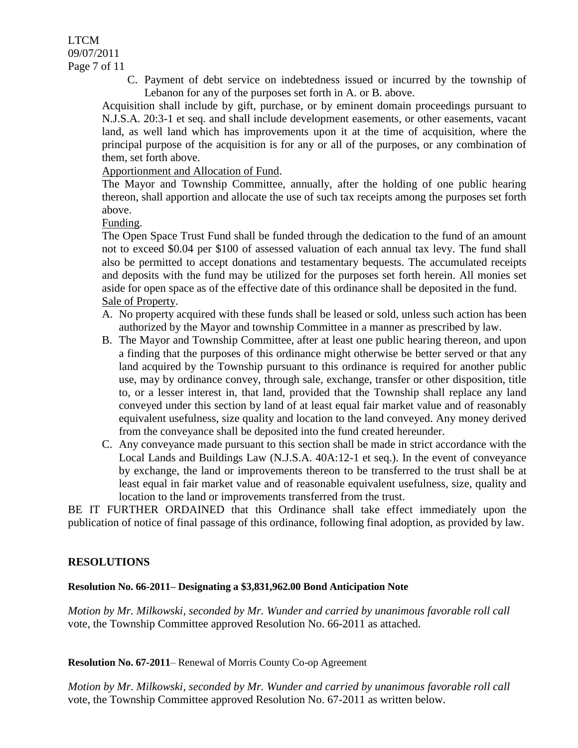LTCM 09/07/2011 Page 7 of 11

> C. Payment of debt service on indebtedness issued or incurred by the township of Lebanon for any of the purposes set forth in A. or B. above.

Acquisition shall include by gift, purchase, or by eminent domain proceedings pursuant to N.J.S.A. 20:3-1 et seq. and shall include development easements, or other easements, vacant land, as well land which has improvements upon it at the time of acquisition, where the principal purpose of the acquisition is for any or all of the purposes, or any combination of them, set forth above.

Apportionment and Allocation of Fund.

The Mayor and Township Committee, annually, after the holding of one public hearing thereon, shall apportion and allocate the use of such tax receipts among the purposes set forth above.

Funding.

The Open Space Trust Fund shall be funded through the dedication to the fund of an amount not to exceed \$0.04 per \$100 of assessed valuation of each annual tax levy. The fund shall also be permitted to accept donations and testamentary bequests. The accumulated receipts and deposits with the fund may be utilized for the purposes set forth herein. All monies set aside for open space as of the effective date of this ordinance shall be deposited in the fund. Sale of Property.

- A. No property acquired with these funds shall be leased or sold, unless such action has been authorized by the Mayor and township Committee in a manner as prescribed by law.
- B. The Mayor and Township Committee, after at least one public hearing thereon, and upon a finding that the purposes of this ordinance might otherwise be better served or that any land acquired by the Township pursuant to this ordinance is required for another public use, may by ordinance convey, through sale, exchange, transfer or other disposition, title to, or a lesser interest in, that land, provided that the Township shall replace any land conveyed under this section by land of at least equal fair market value and of reasonably equivalent usefulness, size quality and location to the land conveyed. Any money derived from the conveyance shall be deposited into the fund created hereunder.
- C. Any conveyance made pursuant to this section shall be made in strict accordance with the Local Lands and Buildings Law (N.J.S.A. 40A:12-1 et seq.). In the event of conveyance by exchange, the land or improvements thereon to be transferred to the trust shall be at least equal in fair market value and of reasonable equivalent usefulness, size, quality and location to the land or improvements transferred from the trust.

BE IT FURTHER ORDAINED that this Ordinance shall take effect immediately upon the publication of notice of final passage of this ordinance, following final adoption, as provided by law.

### **RESOLUTIONS**

### **Resolution No. 66-2011– Designating a \$3,831,962.00 Bond Anticipation Note**

*Motion by Mr. Milkowski, seconded by Mr. Wunder and carried by unanimous favorable roll call*  vote, the Township Committee approved Resolution No. 66-2011 as attached.

**Resolution No. 67-2011**– Renewal of Morris County Co-op Agreement

*Motion by Mr. Milkowski, seconded by Mr. Wunder and carried by unanimous favorable roll call*  vote, the Township Committee approved Resolution No. 67-2011 as written below.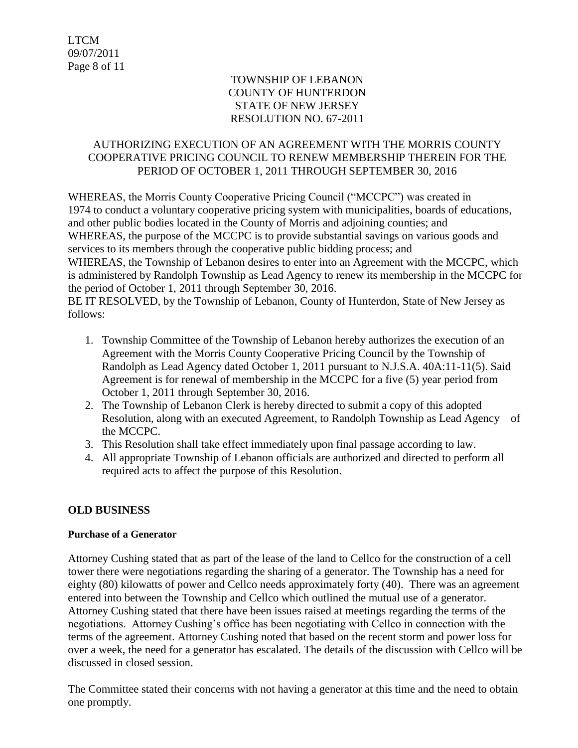# TOWNSHIP OF LEBANON COUNTY OF HUNTERDON STATE OF NEW JERSEY RESOLUTION NO. 67-2011

# AUTHORIZING EXECUTION OF AN AGREEMENT WITH THE MORRIS COUNTY COOPERATIVE PRICING COUNCIL TO RENEW MEMBERSHIP THEREIN FOR THE PERIOD OF OCTOBER 1, 2011 THROUGH SEPTEMBER 30, 2016

WHEREAS, the Morris County Cooperative Pricing Council ("MCCPC") was created in 1974 to conduct a voluntary cooperative pricing system with municipalities, boards of educations, and other public bodies located in the County of Morris and adjoining counties; and WHEREAS, the purpose of the MCCPC is to provide substantial savings on various goods and services to its members through the cooperative public bidding process; and WHEREAS, the Township of Lebanon desires to enter into an Agreement with the MCCPC, which is administered by Randolph Township as Lead Agency to renew its membership in the MCCPC for the period of October 1, 2011 through September 30, 2016. BE IT RESOLVED, by the Township of Lebanon, County of Hunterdon, State of New Jersey as

follows:

- 1. Township Committee of the Township of Lebanon hereby authorizes the execution of an Agreement with the Morris County Cooperative Pricing Council by the Township of Randolph as Lead Agency dated October 1, 2011 pursuant to N.J.S.A. 40A:11-11(5). Said Agreement is for renewal of membership in the MCCPC for a five (5) year period from October 1, 2011 through September 30, 2016.
- 2. The Township of Lebanon Clerk is hereby directed to submit a copy of this adopted Resolution, along with an executed Agreement, to Randolph Township as Lead Agency of the MCCPC.
- 3. This Resolution shall take effect immediately upon final passage according to law.
- 4. All appropriate Township of Lebanon officials are authorized and directed to perform all required acts to affect the purpose of this Resolution.

# **OLD BUSINESS**

# **Purchase of a Generator**

Attorney Cushing stated that as part of the lease of the land to Cellco for the construction of a cell tower there were negotiations regarding the sharing of a generator. The Township has a need for eighty (80) kilowatts of power and Cellco needs approximately forty (40). There was an agreement entered into between the Township and Cellco which outlined the mutual use of a generator. Attorney Cushing stated that there have been issues raised at meetings regarding the terms of the negotiations. Attorney Cushing's office has been negotiating with Cellco in connection with the terms of the agreement. Attorney Cushing noted that based on the recent storm and power loss for over a week, the need for a generator has escalated. The details of the discussion with Cellco will be discussed in closed session.

The Committee stated their concerns with not having a generator at this time and the need to obtain one promptly.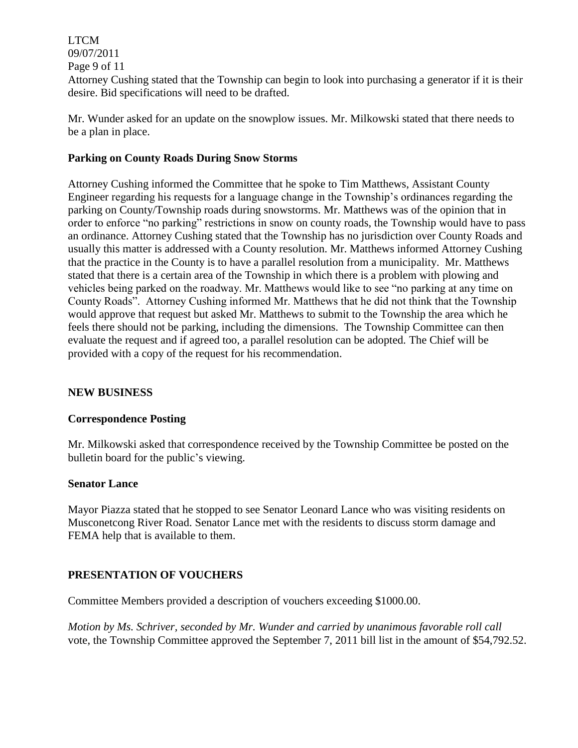LTCM 09/07/2011 Page 9 of 11 Attorney Cushing stated that the Township can begin to look into purchasing a generator if it is their desire. Bid specifications will need to be drafted.

Mr. Wunder asked for an update on the snowplow issues. Mr. Milkowski stated that there needs to be a plan in place.

### **Parking on County Roads During Snow Storms**

Attorney Cushing informed the Committee that he spoke to Tim Matthews, Assistant County Engineer regarding his requests for a language change in the Township's ordinances regarding the parking on County/Township roads during snowstorms. Mr. Matthews was of the opinion that in order to enforce "no parking" restrictions in snow on county roads, the Township would have to pass an ordinance. Attorney Cushing stated that the Township has no jurisdiction over County Roads and usually this matter is addressed with a County resolution. Mr. Matthews informed Attorney Cushing that the practice in the County is to have a parallel resolution from a municipality. Mr. Matthews stated that there is a certain area of the Township in which there is a problem with plowing and vehicles being parked on the roadway. Mr. Matthews would like to see "no parking at any time on County Roads". Attorney Cushing informed Mr. Matthews that he did not think that the Township would approve that request but asked Mr. Matthews to submit to the Township the area which he feels there should not be parking, including the dimensions. The Township Committee can then evaluate the request and if agreed too, a parallel resolution can be adopted. The Chief will be provided with a copy of the request for his recommendation.

### **NEW BUSINESS**

### **Correspondence Posting**

Mr. Milkowski asked that correspondence received by the Township Committee be posted on the bulletin board for the public's viewing.

### **Senator Lance**

Mayor Piazza stated that he stopped to see Senator Leonard Lance who was visiting residents on Musconetcong River Road. Senator Lance met with the residents to discuss storm damage and FEMA help that is available to them.

### **PRESENTATION OF VOUCHERS**

Committee Members provided a description of vouchers exceeding \$1000.00.

*Motion by Ms. Schriver, seconded by Mr. Wunder and carried by unanimous favorable roll call*  vote, the Township Committee approved the September 7, 2011 bill list in the amount of \$54,792.52.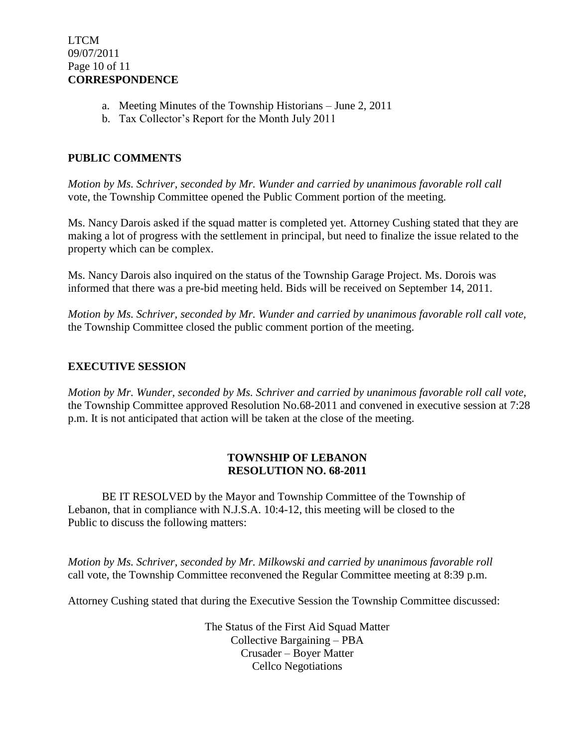- a. Meeting Minutes of the Township Historians June 2, 2011
- b. Tax Collector's Report for the Month July 2011

### **PUBLIC COMMENTS**

*Motion by Ms. Schriver, seconded by Mr. Wunder and carried by unanimous favorable roll call*  vote, the Township Committee opened the Public Comment portion of the meeting.

Ms. Nancy Darois asked if the squad matter is completed yet. Attorney Cushing stated that they are making a lot of progress with the settlement in principal, but need to finalize the issue related to the property which can be complex.

Ms. Nancy Darois also inquired on the status of the Township Garage Project. Ms. Dorois was informed that there was a pre-bid meeting held. Bids will be received on September 14, 2011.

*Motion by Ms. Schriver, seconded by Mr. Wunder and carried by unanimous favorable roll call vote,* the Township Committee closed the public comment portion of the meeting.

### **EXECUTIVE SESSION**

*Motion by Mr. Wunder, seconded by Ms. Schriver and carried by unanimous favorable roll call vote,* the Township Committee approved Resolution No.68-2011 and convened in executive session at 7:28 p.m. It is not anticipated that action will be taken at the close of the meeting.

### **TOWNSHIP OF LEBANON RESOLUTION NO. 68-2011**

BE IT RESOLVED by the Mayor and Township Committee of the Township of Lebanon, that in compliance with N.J.S.A. 10:4-12, this meeting will be closed to the Public to discuss the following matters:

*Motion by Ms. Schriver, seconded by Mr. Milkowski and carried by unanimous favorable roll*  call vote, the Township Committee reconvened the Regular Committee meeting at 8:39 p.m.

Attorney Cushing stated that during the Executive Session the Township Committee discussed:

The Status of the First Aid Squad Matter Collective Bargaining – PBA Crusader – Boyer Matter Cellco Negotiations